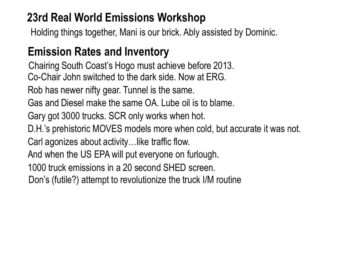#### **23rd Real World Emissions Workshop**

Holding things together, Mani is our brick. Ably assisted by Dominic.

### **Emission Rates and Inventory**

Chairing South Coast's Hogo must achieve before 2013. Co-Chair John switched to the dark side. Now at ERG.

Rob has newer nifty gear. Tunnel is the same.

Gas and Diesel make the same OA. Lube oil is to blame.

Gary got 3000 trucks. SCR only works when hot.

D.H.'s prehistoric MOVES models more when cold, but accurate it was not.

Carl agonizes about activity…like traffic flow.

And when the US EPA will put everyone on furlough.

1000 truck emissions in a 20 second SHED screen.

Don's (futile?) attempt to revolutionize the truck I/M routine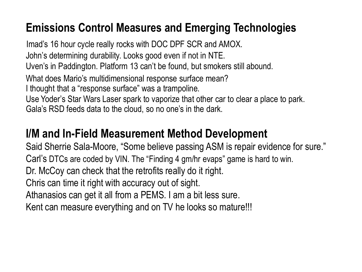### **Emissions Control Measures and Emerging Technologies**

Imad's 16 hour cycle really rocks with DOC DPF SCR and AMOX. John's determining durability. Looks good even if not in NTE. Uven's in Paddington. Platform 13 can't be found, but smokers still abound. What does Mario's multidimensional response surface mean? I thought that a "response surface" was a trampoline. Use Yoder's Star Wars Laser spark to vaporize that other car to clear a place to park. Gala's RSD feeds data to the cloud, so no one's in the dark.

#### **I/M and In-Field Measurement Method Development**

Said Sherrie Sala-Moore, "Some believe passing ASM is repair evidence for sure." Carl's DTCs are coded by VIN. The "Finding 4 gm/hr evaps" game is hard to win. Dr. McCoy can check that the retrofits really do it right. Chris can time it right with accuracy out of sight. Athanasios can get it all from a PEMS. I am a bit less sure. Kent can measure everything and on TV he looks so mature!!!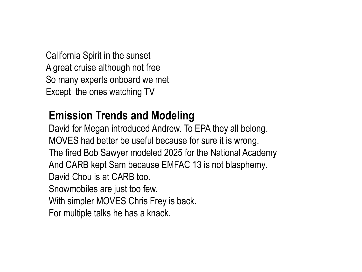California Spirit in the sunset A great cruise although not free So many experts onboard we met Except the ones watching TV

#### **Emission Trends and Modeling**

David for Megan introduced Andrew. To EPA they all belong. MOVES had better be useful because for sure it is wrong. The fired Bob Sawyer modeled 2025 for the National Academy And CARB kept Sam because EMFAC 13 is not blasphemy. David Chou is at CARB too. Snowmobiles are just too few. With simpler MOVES Chris Frey is back. For multiple talks he has a knack.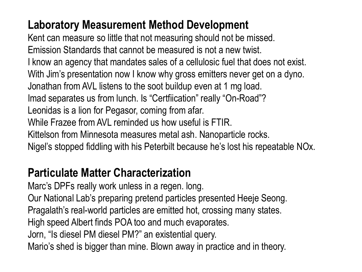### **Laboratory Measurement Method Development**

Kent can measure so little that not measuring should not be missed. Emission Standards that cannot be measured is not a new twist. I know an agency that mandates sales of a cellulosic fuel that does not exist. With Jim's presentation now I know why gross emitters never get on a dyno. Jonathan from AVL listens to the soot buildup even at 1 mg load. Imad separates us from lunch. Is "Certfiication" really "On-Road"? Leonidas is a lion for Pegasor, coming from afar. While Frazee from AVL reminded us how useful is FTIR. Kittelson from Minnesota measures metal ash. Nanoparticle rocks. Nigel's stopped fiddling with his Peterbilt because he's lost his repeatable NOx.

### **Particulate Matter Characterization**

Marc's DPFs really work unless in a regen. long. Our National Lab's preparing pretend particles presented Heeje Seong. Pragalath's real-world particles are emitted hot, crossing many states. High speed Albert finds POA too and much evaporates. Jorn, "Is diesel PM diesel PM?" an existential query. Mario's shed is bigger than mine. Blown away in practice and in theory.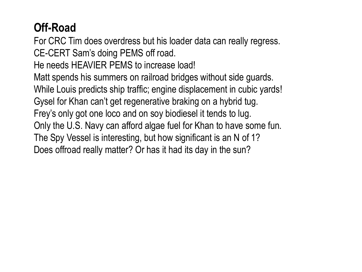## **Off-Road**

For CRC Tim does overdress but his loader data can really regress. CE-CERT Sam's doing PEMS off road.

He needs HEAVIER PEMS to increase load!

Matt spends his summers on railroad bridges without side guards.

While Louis predicts ship traffic; engine displacement in cubic yards!

Gysel for Khan can't get regenerative braking on a hybrid tug.

Frey's only got one loco and on soy biodiesel it tends to lug.

Only the U.S. Navy can afford algae fuel for Khan to have some fun.

The Spy Vessel is interesting, but how significant is an N of 1?

Does offroad really matter? Or has it had its day in the sun?